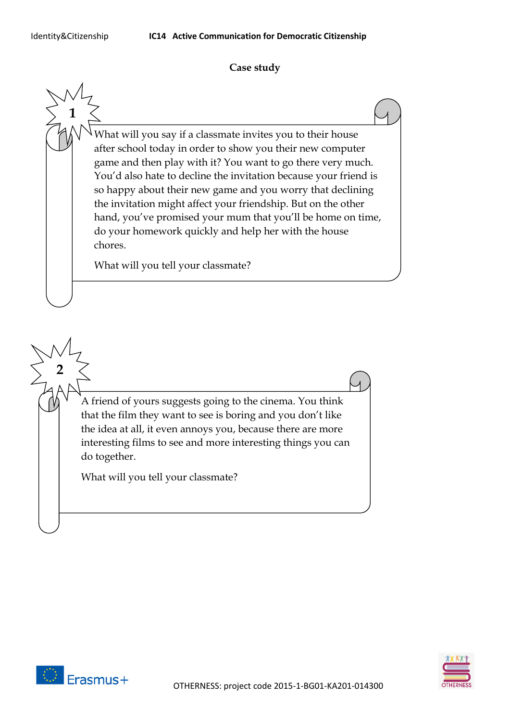**1**

**2**

## **Case study**

What will you say if a classmate invites you to their house after school today in order to show you their new computer game and then play with it? You want to go there very much. You'd also hate to decline the invitation because your friend is so happy about their new game and you worry that declining the invitation might affect your friendship. But on the other hand, you've promised your mum that you'll be home on time, do your homework quickly and help her with the house chores.

What will you tell your classmate?

A friend of yours suggests going to the cinema. You think that the film they want to see is boring and you don't like the idea at all, it even annoys you, because there are more interesting films to see and more interesting things you can do together.

What will you tell your classmate?